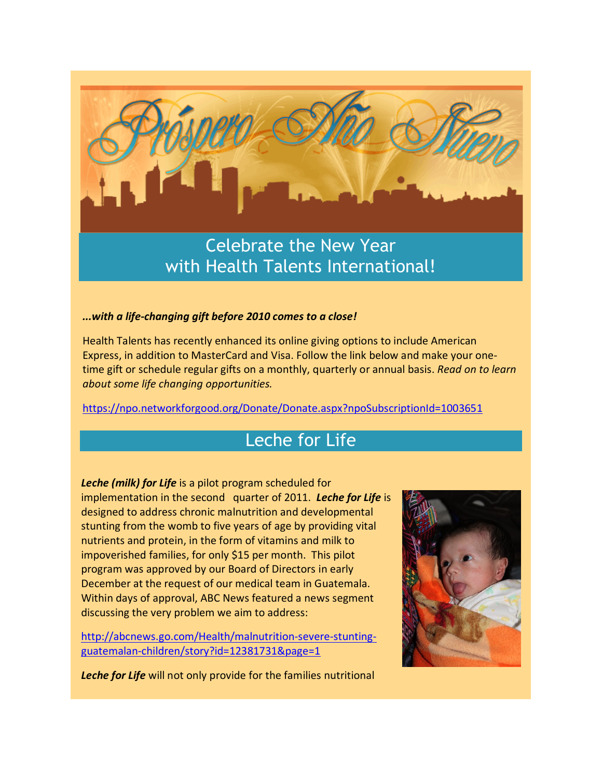

Celebrate the New Year with Health Talents International!

## *...with a life-changing gift before 2010 comes to a close!*

Health Talents has recently enhanced its online giving options to include American Express, in addition to MasterCard and Visa. Follow the link below and make your onetime gift or schedule regular gifts on a monthly, quarterly or annual basis. *Read on to learn about some life changing opportunities.*

https://npo.networkforgood.org/Donate/Donate.aspx?npoSubscriptionId=1003651

## Leche for Life

*Leche (milk) for Life* is a pilot program scheduled for implementation in the second quarter of 2011. *Leche for Life* is designed to address chronic malnutrition and developmental stunting from the womb to five years of age by providing vital nutrients and protein, in the form of vitamins and milk to impoverished families, for only \$15 per month. This pilot program was approved by our Board of Directors in early December at the request of our medical team in Guatemala. Within days of approval, ABC News featured a news segment discussing the very problem we aim to address:

http://abcnews.go.com/Health/malnutrition-severe-stuntingguatemalan-children/story?id=12381731&page=1



*Leche for Life* will not only provide for the families nutritional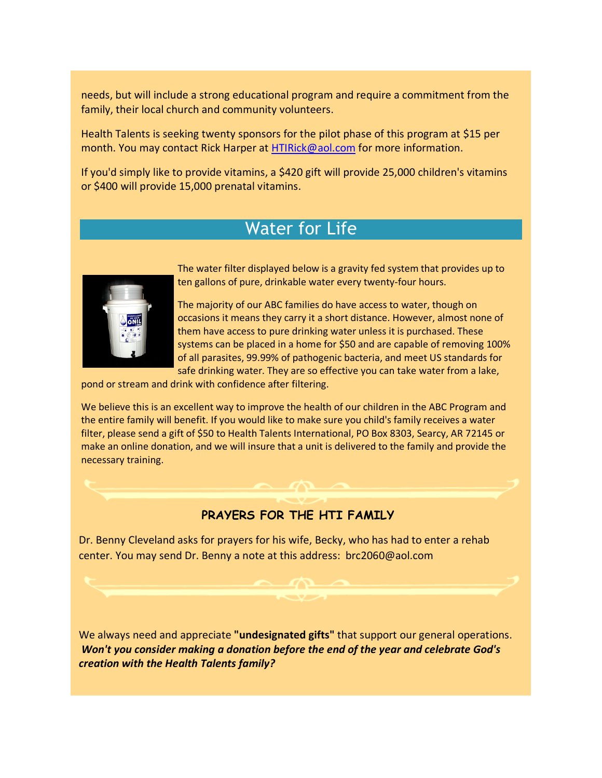needs, but will include a strong educational program and require a commitment from the family, their local church and community volunteers.

Health Talents is seeking twenty sponsors for the pilot phase of this program at \$15 per month. You may contact Rick Harper at HTIRick@aol.com for more information.

If you'd simply like to provide vitamins, a \$420 gift will provide 25,000 children's vitamins or \$400 will provide 15,000 prenatal vitamins.

## Water for Life



The water filter displayed below is a gravity fed system that provides up to ten gallons of pure, drinkable water every twenty-four hours.

The majority of our ABC families do have access to water, though on occasions it means they carry it a short distance. However, almost none of them have access to pure drinking water unless it is purchased. These systems can be placed in a home for \$50 and are capable of removing 100% of all parasites, 99.99% of pathogenic bacteria, and meet US standards for safe drinking water. They are so effective you can take water from a lake,

pond or stream and drink with confidence after filtering.

We believe this is an excellent way to improve the health of our children in the ABC Program and the entire family will benefit. If you would like to make sure you child's family receives a water filter, please send a gift of \$50 to Health Talents International, PO Box 8303, Searcy, AR 72145 or make an online donation, and we will insure that a unit is delivered to the family and provide the necessary training.

## **PRAYERS FOR THE HTI FAMILY**

Dr. Benny Cleveland asks for prayers for his wife, Becky, who has had to enter a rehab center. You may send Dr. Benny a note at this address: brc2060@aol.com

We always need and appreciate **"undesignated gifts"** that support our general operations. *Won't you consider making a donation before the end of the year and celebrate God's creation with the Health Talents family?*